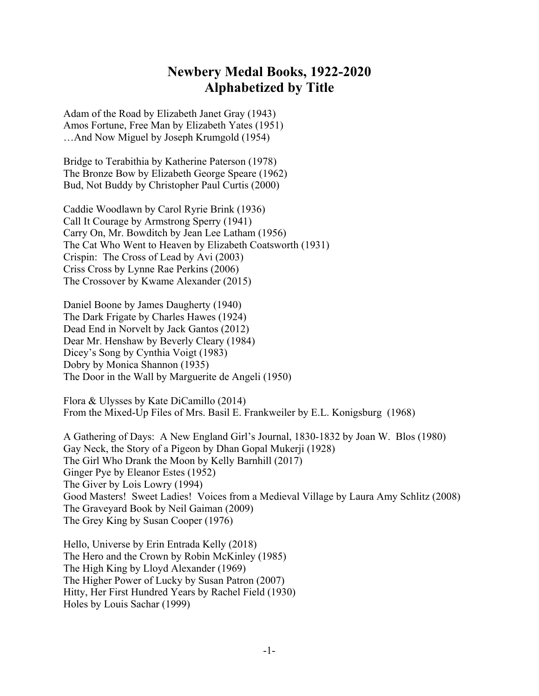## **Newbery Medal Books, 1922-2020 Alphabetized by Title**

Adam of the Road by Elizabeth Janet Gray (1943) Amos Fortune, Free Man by Elizabeth Yates (1951) …And Now Miguel by Joseph Krumgold (1954)

Bridge to Terabithia by Katherine Paterson (1978) The Bronze Bow by Elizabeth George Speare (1962) Bud, Not Buddy by Christopher Paul Curtis (2000)

Caddie Woodlawn by Carol Ryrie Brink (1936) Call It Courage by Armstrong Sperry (1941) Carry On, Mr. Bowditch by Jean Lee Latham (1956) The Cat Who Went to Heaven by Elizabeth Coatsworth (1931) Crispin: The Cross of Lead by Avi (2003) Criss Cross by Lynne Rae Perkins (2006) The Crossover by Kwame Alexander (2015)

Daniel Boone by James Daugherty (1940) The Dark Frigate by Charles Hawes (1924) Dead End in Norvelt by Jack Gantos (2012) Dear Mr. Henshaw by Beverly Cleary (1984) Dicey's Song by Cynthia Voigt (1983) Dobry by Monica Shannon (1935) The Door in the Wall by Marguerite de Angeli (1950)

Flora & Ulysses by Kate DiCamillo (2014) From the Mixed-Up Files of Mrs. Basil E. Frankweiler by E.L. Konigsburg (1968)

A Gathering of Days: A New England Girl's Journal, 1830-1832 by Joan W. Blos (1980) Gay Neck, the Story of a Pigeon by Dhan Gopal Mukerji (1928) The Girl Who Drank the Moon by Kelly Barnhill (2017) Ginger Pye by Eleanor Estes (1952) The Giver by Lois Lowry (1994) Good Masters! Sweet Ladies! Voices from a Medieval Village by Laura Amy Schlitz (2008) The Graveyard Book by Neil Gaiman (2009) The Grey King by Susan Cooper (1976)

Hello, Universe by Erin Entrada Kelly (2018) The Hero and the Crown by Robin McKinley (1985) The High King by Lloyd Alexander (1969) The Higher Power of Lucky by Susan Patron (2007) Hitty, Her First Hundred Years by Rachel Field (1930) Holes by Louis Sachar (1999)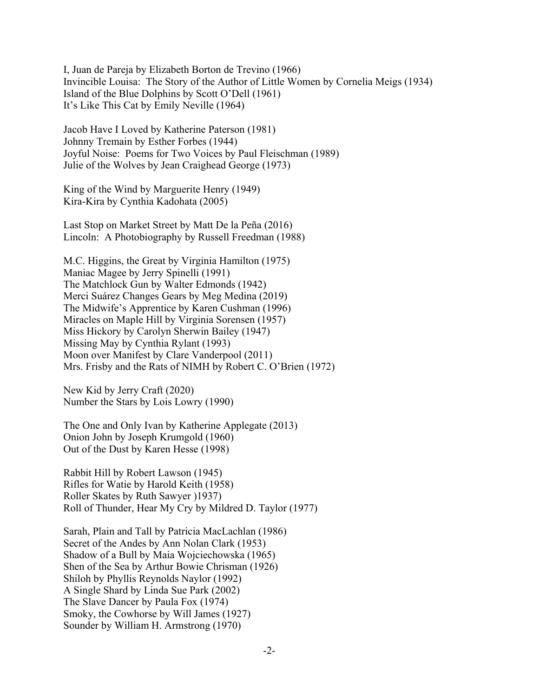I, Juan de Pareja by Elizabeth Borton de Trevino (1966) Invincible Louisa: The Story of the Author of Little Women by Cornelia Meigs (1934) Island of the Blue Dolphins by Scott O'Dell (1961) It's Like This Cat by Emily Neville (1964)

Jacob Have I Loved by Katherine Paterson (1981) Johnny Tremain by Esther Forbes (1944) Joyful Noise: Poems for Two Voices by Paul Fleischman (1989) Julie of the Wolves by Jean Craighead George (1973)

King of the Wind by Marguerite Henry (1949) Kira-Kira by Cynthia Kadohata (2005)

Last Stop on Market Street by Matt De la Peña (2016) Lincoln: A Photobiography by Russell Freedman (1988)

M.C. Higgins, the Great by Virginia Hamilton (1975) Maniac Magee by Jerry Spinelli (1991) The Matchlock Gun by Walter Edmonds (1942) Merci Suárez Changes Gears by Meg Medina (2019) The Midwife's Apprentice by Karen Cushman (1996) Miracles on Maple Hill by Virginia Sorensen (1957) Miss Hickory by Carolyn Sherwin Bailey (1947) Missing May by Cynthia Rylant (1993) Moon over Manifest by Clare Vanderpool (2011) Mrs. Frisby and the Rats of NIMH by Robert C. O'Brien (1972)

New Kid by Jerry Craft (2020) Number the Stars by Lois Lowry (1990)

The One and Only Ivan by Katherine Applegate (2013) Onion John by Joseph Krumgold (1960) Out of the Dust by Karen Hesse (1998)

Rabbit Hill by Robert Lawson (1945) Rifles for Watie by Harold Keith (1958) Roller Skates by Ruth Sawyer )1937) Roll of Thunder, Hear My Cry by Mildred D. Taylor (1977)

Sarah, Plain and Tall by Patricia MacLachlan (1986) Secret of the Andes by Ann Nolan Clark (1953) Shadow of a Bull by Maia Wojciechowska (1965) Shen of the Sea by Arthur Bowie Chrisman (1926) Shiloh by Phyllis Reynolds Naylor (1992) A Single Shard by Linda Sue Park (2002) The Slave Dancer by Paula Fox (1974) Smoky, the Cowhorse by Will James (1927) Sounder by William H. Armstrong (1970)